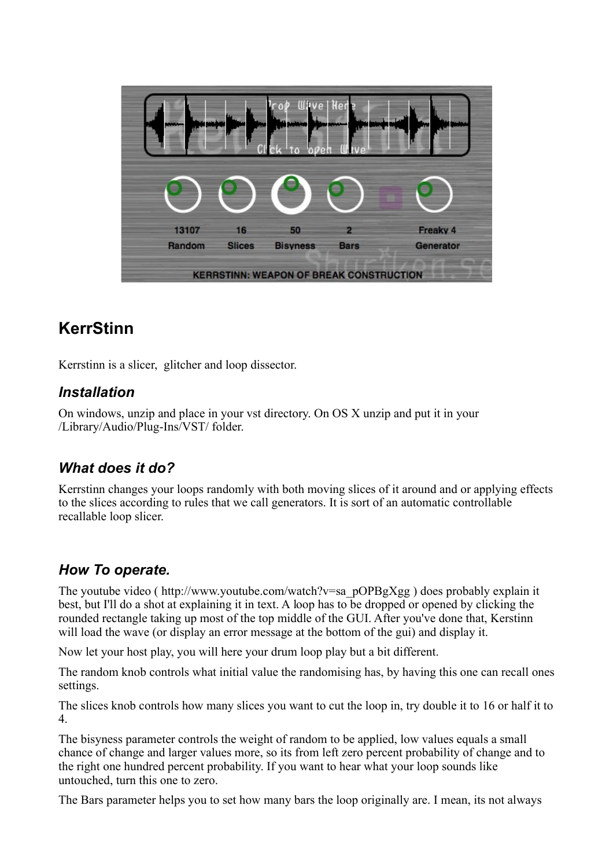| Her<br>le.                                     |               |                 |             |           |
|------------------------------------------------|---------------|-----------------|-------------|-----------|
|                                                | ۔ ۔           |                 |             |           |
| 13107                                          | 16            | 50              | 2           | Freaky 4  |
| Random                                         | <b>Slices</b> | <b>Bisyness</b> | <b>Bars</b> | Generator |
| <b>KERRSTINN: WEAPON OF BREAK CONSTRUCTION</b> |               |                 |             |           |

# **KerrStinn**

Kerrstinn is a slicer, glitcher and loop dissector.

#### *Installation*

On windows, unzip and place in your vst directory. On OS X unzip and put it in your /Library/Audio/Plug-Ins/VST/ folder.

## *What does it do?*

Kerrstinn changes your loops randomly with both moving slices of it around and or applying effects to the slices according to rules that we call generators. It is sort of an automatic controllable recallable loop slicer.

#### *How To operate.*

The youtube video ( http://www.youtube.com/watch?v=sa\_pOPBgXgg ) does probably explain it best, but I'll do a shot at explaining it in text. A loop has to be dropped or opened by clicking the rounded rectangle taking up most of the top middle of the GUI. After you've done that, Kerstinn will load the wave (or display an error message at the bottom of the gui) and display it.

Now let your host play, you will here your drum loop play but a bit different.

The random knob controls what initial value the randomising has, by having this one can recall ones settings.

The slices knob controls how many slices you want to cut the loop in, try double it to 16 or half it to 4.

The bisyness parameter controls the weight of random to be applied, low values equals a small chance of change and larger values more, so its from left zero percent probability of change and to the right one hundred percent probability. If you want to hear what your loop sounds like untouched, turn this one to zero.

The Bars parameter helps you to set how many bars the loop originally are. I mean, its not always